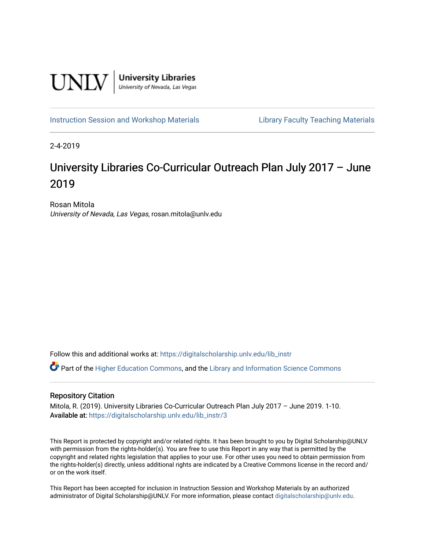

[Instruction Session and Workshop Materials](https://digitalscholarship.unlv.edu/lib_instr) [Library Faculty Teaching Materials](https://digitalscholarship.unlv.edu/lib_teach) 

2-4-2019

# University Libraries Co-Curricular Outreach Plan July 2017 – June 2019

Rosan Mitola University of Nevada, Las Vegas, rosan.mitola@unlv.edu

Follow this and additional works at: [https://digitalscholarship.unlv.edu/lib\\_instr](https://digitalscholarship.unlv.edu/lib_instr?utm_source=digitalscholarship.unlv.edu%2Flib_instr%2F3&utm_medium=PDF&utm_campaign=PDFCoverPages)

Part of the [Higher Education Commons,](http://network.bepress.com/hgg/discipline/1245?utm_source=digitalscholarship.unlv.edu%2Flib_instr%2F3&utm_medium=PDF&utm_campaign=PDFCoverPages) and the Library and Information Science Commons

#### Repository Citation

Mitola, R. (2019). University Libraries Co-Curricular Outreach Plan July 2017 – June 2019. 1-10. Available at: [https://digitalscholarship.unlv.edu/lib\\_instr/3](https://digitalscholarship.unlv.edu/lib_instr/3)

This Report is protected by copyright and/or related rights. It has been brought to you by Digital Scholarship@UNLV with permission from the rights-holder(s). You are free to use this Report in any way that is permitted by the copyright and related rights legislation that applies to your use. For other uses you need to obtain permission from the rights-holder(s) directly, unless additional rights are indicated by a Creative Commons license in the record and/ or on the work itself.

This Report has been accepted for inclusion in Instruction Session and Workshop Materials by an authorized administrator of Digital Scholarship@UNLV. For more information, please contact [digitalscholarship@unlv.edu.](mailto:digitalscholarship@unlv.edu)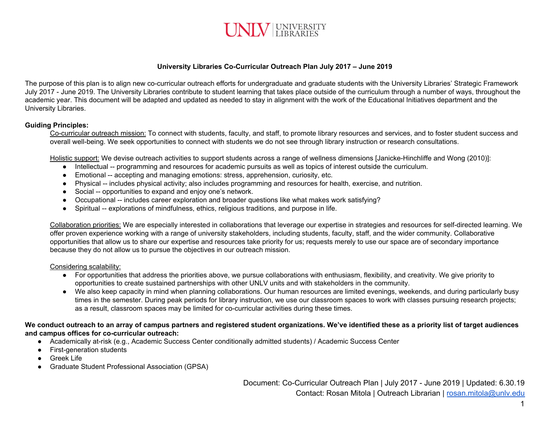

## **University Libraries Co-Curricular Outreach Plan July 2017 – June 2019**

The purpose of this plan is to align new co-curricular outreach efforts for undergraduate and graduate students with the University Libraries' Strategic Framework July 2017 - June 2019. The University Libraries contribute to student learning that takes place outside of the curriculum through a number of ways, throughout the academic year. This document will be adapted and updated as needed to stay in alignment with the work of the Educational Initiatives department and the University Libraries.

## **Guiding Principles:**

Co-curricular outreach mission: To connect with students, faculty, and staff, to promote library resources and services, and to foster student success and overall well-being. We seek opportunities to connect with students we do not see through library instruction or research consultations.

Holistic support: We devise outreach activities to support students across a range of wellness dimensions [Janicke-Hinchliffe and Wong (2010)]:

- Intellectual -- programming and resources for academic pursuits as well as topics of interest outside the curriculum.
- Emotional -- accepting and managing emotions: stress, apprehension, curiosity, etc.
- Physical -- includes physical activity; also includes programming and resources for health, exercise, and nutrition.
- Social -- opportunities to expand and enjoy one's network.
- Occupational -- includes career exploration and broader questions like what makes work satisfying?
- Spiritual -- explorations of mindfulness, ethics, religious traditions, and purpose in life.

Collaboration priorities: We are especially interested in collaborations that leverage our expertise in strategies and resources for self-directed learning. We offer proven experience working with a range of university stakeholders, including students, faculty, staff, and the wider community. Collaborative opportunities that allow us to share our expertise and resources take priority for us; requests merely to use our space are of secondary importance because they do not allow us to pursue the objectives in our outreach mission.

## Considering scalability:

- For opportunities that address the priorities above, we pursue collaborations with enthusiasm, flexibility, and creativity. We give priority to opportunities to create sustained partnerships with other UNLV units and with stakeholders in the community.
- We also keep capacity in mind when planning collaborations. Our human resources are limited evenings, weekends, and during particularly busy times in the semester. During peak periods for library instruction, we use our classroom spaces to work with classes pursuing research projects; as a result, classroom spaces may be limited for co-curricular activities during these times.

## We conduct outreach to an array of campus partners and registered student organizations. We've identified these as a priority list of target audiences **and campus offices for co-curricular outreach:**

- Academically at-risk (e.g., Academic Success Center conditionally admitted students) / Academic Success Center
- First-generation students
- Greek Life
- Graduate Student Professional Association (GPSA)

Document: Co-Curricular Outreach Plan | July 2017 - June 2019 | Updated: 6.30.19 Contact: Rosan Mitola | Outreach Librarian | [rosan.mitola@unlv.edu](mailto:rosan.mitola@unlv.edu)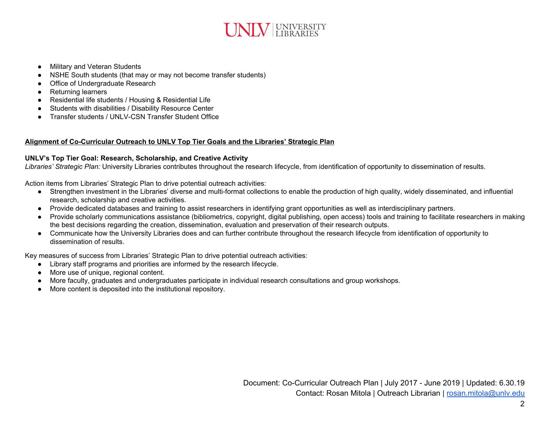

- Military and Veteran Students
- NSHE South students (that may or may not become transfer students)
- Office of Undergraduate Research
- Returning learners
- Residential life students / Housing & Residential Life
- Students with disabilities / Disability Resource Center
- Transfer students / UNLV-CSN Transfer Student Office

## **Alignment of Co-Curricular Outreach to UNLV Top Tier Goals and the Libraries' Strategic Plan**

## **UNLV's Top Tier Goal: Research, Scholarship, and Creative Activity**

*Libraries' Strategic Plan:* University Libraries contributes throughout the research lifecycle, from identification of opportunity to dissemination of results.

Action items from Libraries' Strategic Plan to drive potential outreach activities:

- Strengthen investment in the Libraries' diverse and multi-format collections to enable the production of high quality, widely disseminated, and influential research, scholarship and creative activities.
- Provide dedicated databases and training to assist researchers in identifying grant opportunities as well as interdisciplinary partners.
- Provide scholarly communications assistance (bibliometrics, copyright, digital publishing, open access) tools and training to facilitate researchers in making the best decisions regarding the creation, dissemination, evaluation and preservation of their research outputs.
- Communicate how the University Libraries does and can further contribute throughout the research lifecycle from identification of opportunity to dissemination of results.

Key measures of success from Libraries' Strategic Plan to drive potential outreach activities:

- Library staff programs and priorities are informed by the research lifecycle.
- More use of unique, regional content.
- More faculty, graduates and undergraduates participate in individual research consultations and group workshops.
- More content is deposited into the institutional repository.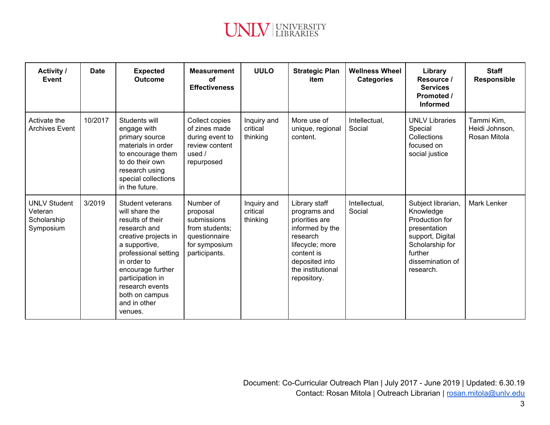

| <b>Activity /</b><br>Event                                 | <b>Date</b> | <b>Expected</b><br><b>Outcome</b>                                                                                                                                                                                                                               | <b>Measurement</b><br>Ωf<br><b>Effectiveness</b>                                                          | <b>UULO</b>                         | <b>Strategic Plan</b><br>item                                                                                                                                         | <b>Wellness Wheel</b><br><b>Categories</b> | Library<br>Resource /<br><b>Services</b><br>Promoted /<br><b>Informed</b>                                                                            | <b>Staff</b><br><b>Responsible</b>           |
|------------------------------------------------------------|-------------|-----------------------------------------------------------------------------------------------------------------------------------------------------------------------------------------------------------------------------------------------------------------|-----------------------------------------------------------------------------------------------------------|-------------------------------------|-----------------------------------------------------------------------------------------------------------------------------------------------------------------------|--------------------------------------------|------------------------------------------------------------------------------------------------------------------------------------------------------|----------------------------------------------|
| Activate the<br><b>Archives Event</b>                      | 10/2017     | Students will<br>engage with<br>primary source<br>materials in order<br>to encourage them<br>to do their own<br>research using<br>special collections<br>in the future.                                                                                         | Collect copies<br>of zines made<br>during event to<br>review content<br>used $/$<br>repurposed            | Inquiry and<br>critical<br>thinking | More use of<br>unique, regional<br>content.                                                                                                                           | Intellectual,<br>Social                    | <b>UNLV Libraries</b><br>Special<br>Collections<br>focused on<br>social justice                                                                      | Tammi Kim,<br>Heidi Johnson,<br>Rosan Mitola |
| <b>UNLV Student</b><br>Veteran<br>Scholarship<br>Symposium | 3/2019      | Student veterans<br>will share the<br>results of their<br>research and<br>creative projects in<br>a supportive,<br>professional setting<br>in order to<br>encourage further<br>participation in<br>research events<br>both on campus<br>and in other<br>venues. | Number of<br>proposal<br>submissions<br>from students;<br>questionnaire<br>for symposium<br>participants. | Inquiry and<br>critical<br>thinking | Library staff<br>programs and<br>priorities are<br>informed by the<br>research<br>lifecycle; more<br>content is<br>deposited into<br>the institutional<br>repository. | Intellectual,<br>Social                    | Subject librarian,<br>Knowledge<br>Production for<br>presentation<br>support, Digital<br>Scholarship for<br>further<br>dissemination of<br>research. | <b>Mark Lenker</b>                           |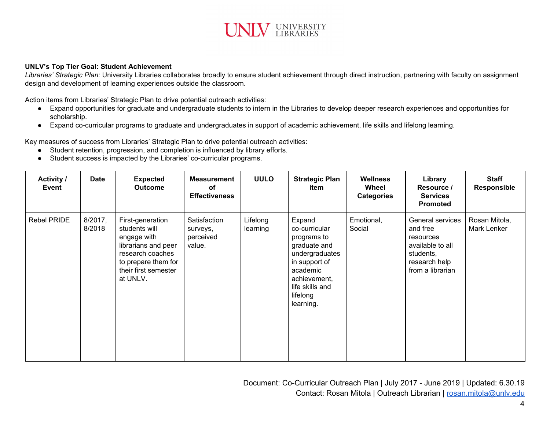

#### **UNLV's Top Tier Goal: Student Achievement**

*Libraries' Strategic Plan:* University Libraries collaborates broadly to ensure student achievement through direct instruction, partnering with faculty on assignment design and development of learning experiences outside the classroom.

Action items from Libraries' Strategic Plan to drive potential outreach activities:

- Expand opportunities for graduate and undergraduate students to intern in the Libraries to develop deeper research experiences and opportunities for scholarship.
- Expand co-curricular programs to graduate and undergraduates in support of academic achievement, life skills and lifelong learning.

Key measures of success from Libraries' Strategic Plan to drive potential outreach activities:

- **●** Student retention, progression, and completion is influenced by library efforts.
- Student success is impacted by the Libraries' co-curricular programs.

| <b>Activity /</b><br>Event | <b>Date</b>       | <b>Expected</b><br><b>Outcome</b>                                                                                                                      | <b>Measurement</b><br>οf<br><b>Effectiveness</b> | <b>UULO</b>          | <b>Strategic Plan</b><br>item                                                                                                                                     | <b>Wellness</b><br>Wheel<br><b>Categories</b> | Library<br>Resource /<br><b>Services</b><br><b>Promoted</b>                                                     | <b>Staff</b><br><b>Responsible</b> |
|----------------------------|-------------------|--------------------------------------------------------------------------------------------------------------------------------------------------------|--------------------------------------------------|----------------------|-------------------------------------------------------------------------------------------------------------------------------------------------------------------|-----------------------------------------------|-----------------------------------------------------------------------------------------------------------------|------------------------------------|
| Rebel PRIDE                | 8/2017,<br>8/2018 | First-generation<br>students will<br>engage with<br>librarians and peer<br>research coaches<br>to prepare them for<br>their first semester<br>at UNLV. | Satisfaction<br>surveys,<br>perceived<br>value.  | Lifelong<br>learning | Expand<br>co-curricular<br>programs to<br>graduate and<br>undergraduates<br>in support of<br>academic<br>achievement,<br>life skills and<br>lifelong<br>learning. | Emotional,<br>Social                          | General services<br>and free<br>resources<br>available to all<br>students,<br>research help<br>from a librarian | Rosan Mitola,<br>Mark Lenker       |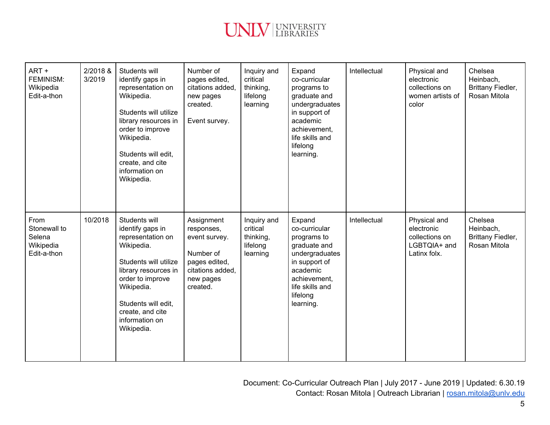

| ART+<br><b>FEMINISM:</b><br>Wikipedia<br>Edit-a-thon       | 2/2018 &<br>3/2019 | Students will<br>identify gaps in<br>representation on<br>Wikipedia.<br>Students will utilize<br>library resources in<br>order to improve<br>Wikipedia.<br>Students will edit,<br>create, and cite<br>information on<br>Wikipedia. | Number of<br>pages edited,<br>citations added,<br>new pages<br>created.<br>Event survey.                             | Inquiry and<br>critical<br>thinking,<br>lifelong<br>learning | Expand<br>co-curricular<br>programs to<br>graduate and<br>undergraduates<br>in support of<br>academic<br>achievement,<br>life skills and<br>lifelong<br>learning. | Intellectual | Physical and<br>electronic<br>collections on<br>women artists of<br>color    | Chelsea<br>Heinbach,<br>Brittany Fiedler,<br>Rosan Mitola |
|------------------------------------------------------------|--------------------|------------------------------------------------------------------------------------------------------------------------------------------------------------------------------------------------------------------------------------|----------------------------------------------------------------------------------------------------------------------|--------------------------------------------------------------|-------------------------------------------------------------------------------------------------------------------------------------------------------------------|--------------|------------------------------------------------------------------------------|-----------------------------------------------------------|
| From<br>Stonewall to<br>Selena<br>Wikipedia<br>Edit-a-thon | 10/2018            | Students will<br>identify gaps in<br>representation on<br>Wikipedia.<br>Students will utilize<br>library resources in<br>order to improve<br>Wikipedia.<br>Students will edit,<br>create, and cite<br>information on<br>Wikipedia. | Assignment<br>responses,<br>event survey.<br>Number of<br>pages edited,<br>citations added,<br>new pages<br>created. | Inquiry and<br>critical<br>thinking,<br>lifelong<br>learning | Expand<br>co-curricular<br>programs to<br>graduate and<br>undergraduates<br>in support of<br>academic<br>achievement,<br>life skills and<br>lifelong<br>learning. | Intellectual | Physical and<br>electronic<br>collections on<br>LGBTQIA+ and<br>Latinx folx. | Chelsea<br>Heinbach,<br>Brittany Fiedler,<br>Rosan Mitola |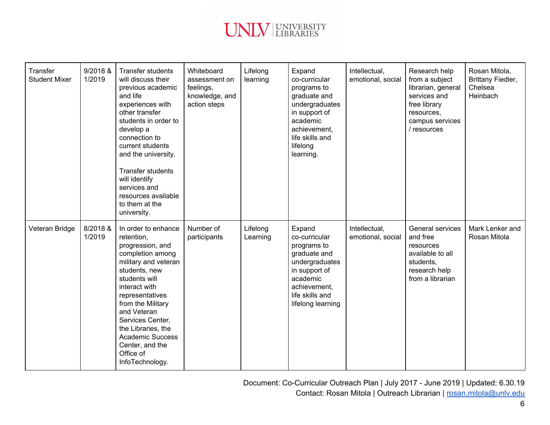

| Transfer<br><b>Student Mixer</b> | 9/2018 &<br>1/2019 | <b>Transfer students</b><br>will discuss their<br>previous academic<br>and life<br>experiences with<br>other transfer<br>students in order to<br>develop a<br>connection to<br>current students<br>and the university.<br><b>Transfer students</b><br>will identify<br>services and<br>resources available<br>to them at the<br>university. | Whiteboard<br>assessment on<br>feelings,<br>knowledge, and<br>action steps | Lifelong<br>learning | Expand<br>co-curricular<br>programs to<br>graduate and<br>undergraduates<br>in support of<br>academic<br>achievement.<br>life skills and<br>lifelong<br>learning. | Intellectual,<br>emotional, social | Research help<br>from a subject<br>librarian, general<br>services and<br>free library<br>resources,<br>campus services<br>/ resources | Rosan Mitola,<br>Brittany Fiedler,<br>Chelsea<br>Heinbach |
|----------------------------------|--------------------|---------------------------------------------------------------------------------------------------------------------------------------------------------------------------------------------------------------------------------------------------------------------------------------------------------------------------------------------|----------------------------------------------------------------------------|----------------------|-------------------------------------------------------------------------------------------------------------------------------------------------------------------|------------------------------------|---------------------------------------------------------------------------------------------------------------------------------------|-----------------------------------------------------------|
| Veteran Bridge                   | 8/2018 &<br>1/2019 | In order to enhance<br>retention,<br>progression, and<br>completion among<br>military and veteran<br>students, new<br>students will<br>interact with<br>representatives<br>from the Military<br>and Veteran<br>Services Center,<br>the Libraries, the<br><b>Academic Success</b><br>Center, and the<br>Office of<br>InfoTechnology.         | Number of<br>participants                                                  | Lifelong<br>Learning | Expand<br>co-curricular<br>programs to<br>graduate and<br>undergraduates<br>in support of<br>academic<br>achievement,<br>life skills and<br>lifelong learning     | Intellectual,<br>emotional, social | General services<br>and free<br>resources<br>available to all<br>students,<br>research help<br>from a librarian                       | Mark Lenker and<br>Rosan Mitola                           |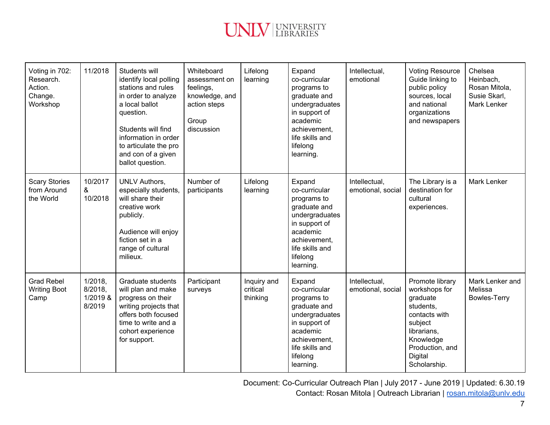

| Voting in 702:<br>Research.<br>Action.<br>Change.<br>Workshop | 11/2018                                  | Students will<br>identify local polling<br>stations and rules<br>in order to analyze<br>a local ballot<br>question.<br>Students will find<br>information in order<br>to articulate the pro<br>and con of a given<br>ballot question. | Whiteboard<br>assessment on<br>feelings,<br>knowledge, and<br>action steps<br>Group<br>discussion | Lifelong<br>learning                | Expand<br>co-curricular<br>programs to<br>graduate and<br>undergraduates<br>in support of<br>academic<br>achievement,<br>life skills and<br>lifelong<br>learning. | Intellectual,<br>emotional         | <b>Voting Resource</b><br>Guide linking to<br>public policy<br>sources, local<br>and national<br>organizations<br>and newspapers                                | Chelsea<br>Heinbach,<br>Rosan Mitola,<br>Susie Skarl,<br>Mark Lenker |
|---------------------------------------------------------------|------------------------------------------|--------------------------------------------------------------------------------------------------------------------------------------------------------------------------------------------------------------------------------------|---------------------------------------------------------------------------------------------------|-------------------------------------|-------------------------------------------------------------------------------------------------------------------------------------------------------------------|------------------------------------|-----------------------------------------------------------------------------------------------------------------------------------------------------------------|----------------------------------------------------------------------|
| <b>Scary Stories</b><br>from Around<br>the World              | 10/2017<br>&<br>10/2018                  | <b>UNLV Authors,</b><br>especially students,<br>will share their<br>creative work<br>publicly.<br>Audience will enjoy<br>fiction set in a<br>range of cultural<br>milieux.                                                           | Number of<br>participants                                                                         | Lifelong<br>learning                | Expand<br>co-curricular<br>programs to<br>graduate and<br>undergraduates<br>in support of<br>academic<br>achievement.<br>life skills and<br>lifelong<br>learning. | Intellectual,<br>emotional, social | The Library is a<br>destination for<br>cultural<br>experiences.                                                                                                 | <b>Mark Lenker</b>                                                   |
| <b>Grad Rebel</b><br><b>Writing Boot</b><br>Camp              | 1/2018,<br>8/2018,<br>1/2019 &<br>8/2019 | Graduate students<br>will plan and make<br>progress on their<br>writing projects that<br>offers both focused<br>time to write and a<br>cohort experience<br>for support.                                                             | Participant<br>surveys                                                                            | Inquiry and<br>critical<br>thinking | Expand<br>co-curricular<br>programs to<br>graduate and<br>undergraduates<br>in support of<br>academic<br>achievement.<br>life skills and<br>lifelong<br>learning. | Intellectual,<br>emotional, social | Promote library<br>workshops for<br>graduate<br>students,<br>contacts with<br>subject<br>librarians,<br>Knowledge<br>Production, and<br>Digital<br>Scholarship. | Mark Lenker and<br>Melissa<br><b>Bowles-Terry</b>                    |

Document: Co-Curricular Outreach Plan | July 2017 - June 2019 | Updated: 6.30.19 Contact: Rosan Mitola | Outreach Librarian | [rosan.mitola@unlv.edu](mailto:rosan.mitola@unlv.edu)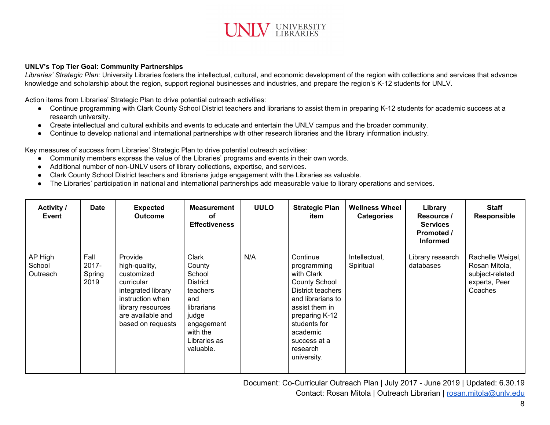

#### **UNLV's Top Tier Goal: Community Partnerships**

*Libraries' Strategic Plan:* University Libraries fosters the intellectual, cultural, and economic development of the region with collections and services that advance knowledge and scholarship about the region, support regional businesses and industries, and prepare the region's K-12 students for UNLV.

Action items from Libraries' Strategic Plan to drive potential outreach activities:

- Continue programming with Clark County School District teachers and librarians to assist them in preparing K-12 students for academic success at a research university.
- Create intellectual and cultural exhibits and events to educate and entertain the UNLV campus and the broader community.
- Continue to develop national and international partnerships with other research libraries and the library information industry.

Key measures of success from Libraries' Strategic Plan to drive potential outreach activities:

- Community members express the value of the Libraries' programs and events in their own words.
- **●** Additional number of non-UNLV users of library collections, expertise, and services.
- Clark County School District teachers and librarians judge engagement with the Libraries as valuable.
- The Libraries' participation in national and international partnerships add measurable value to library operations and services.

| <b>Activity /</b><br>Event    | <b>Date</b>                     | <b>Expected</b><br><b>Outcome</b>                                                                                                                             | <b>Measurement</b><br>оf<br><b>Effectiveness</b>                                                                                       | <b>UULO</b> | <b>Strategic Plan</b><br>item                                                                                                                                                                                      | <b>Wellness Wheel</b><br><b>Categories</b> | Library<br>Resource /<br><b>Services</b><br>Promoted /<br><b>Informed</b> | <b>Staff</b><br><b>Responsible</b>                                               |
|-------------------------------|---------------------------------|---------------------------------------------------------------------------------------------------------------------------------------------------------------|----------------------------------------------------------------------------------------------------------------------------------------|-------------|--------------------------------------------------------------------------------------------------------------------------------------------------------------------------------------------------------------------|--------------------------------------------|---------------------------------------------------------------------------|----------------------------------------------------------------------------------|
| AP High<br>School<br>Outreach | Fall<br>2017-<br>Spring<br>2019 | Provide<br>high-quality,<br>customized<br>curricular<br>integrated library<br>instruction when<br>library resources<br>are available and<br>based on requests | Clark<br>County<br>School<br>District<br>teachers<br>and<br>librarians<br>judge<br>engagement<br>with the<br>Libraries as<br>valuable. | N/A         | Continue<br>programming<br>with Clark<br><b>County School</b><br>District teachers<br>and librarians to<br>assist them in<br>preparing K-12<br>students for<br>academic<br>success at a<br>research<br>university. | Intellectual,<br>Spiritual                 | Library research<br>databases                                             | Rachelle Weigel,<br>Rosan Mitola,<br>subject-related<br>experts, Peer<br>Coaches |

Document: Co-Curricular Outreach Plan | July 2017 - June 2019 | Updated: 6.30.19 Contact: Rosan Mitola | Outreach Librarian | [rosan.mitola@unlv.edu](mailto:rosan.mitola@unlv.edu)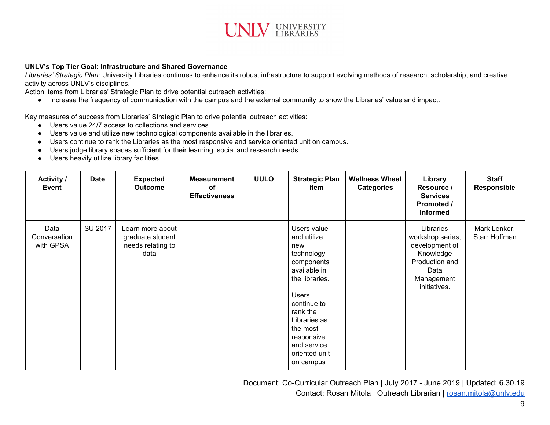

#### **UNLV's Top Tier Goal: Infrastructure and Shared Governance**

*Libraries' Strategic Plan:* University Libraries continues to enhance its robust infrastructure to support evolving methods of research, scholarship, and creative activity across UNLV's disciplines.

Action items from Libraries' Strategic Plan to drive potential outreach activities:

● Increase the frequency of communication with the campus and the external community to show the Libraries' value and impact.

Key measures of success from Libraries' Strategic Plan to drive potential outreach activities:

- Users value 24/7 access to collections and services.
- **●** Users value and utilize new technological components available in the libraries.
- Users continue to rank the Libraries as the most responsive and service oriented unit on campus.
- Users judge library spaces sufficient for their learning, social and research needs.
- Users heavily utilize library facilities.

| <b>Activity /</b><br>Event        | <b>Date</b> | <b>Expected</b><br><b>Outcome</b>                                 | <b>Measurement</b><br>оf<br><b>Effectiveness</b> | <b>UULO</b> | <b>Strategic Plan</b><br>item                                                                                                                                                                                                     | <b>Wellness Wheel</b><br><b>Categories</b> | Library<br>Resource /<br><b>Services</b><br>Promoted /<br><b>Informed</b>                                            | <b>Staff</b><br><b>Responsible</b> |
|-----------------------------------|-------------|-------------------------------------------------------------------|--------------------------------------------------|-------------|-----------------------------------------------------------------------------------------------------------------------------------------------------------------------------------------------------------------------------------|--------------------------------------------|----------------------------------------------------------------------------------------------------------------------|------------------------------------|
| Data<br>Conversation<br>with GPSA | SU 2017     | Learn more about<br>graduate student<br>needs relating to<br>data |                                                  |             | Users value<br>and utilize<br>new<br>technology<br>components<br>available in<br>the libraries.<br><b>Users</b><br>continue to<br>rank the<br>Libraries as<br>the most<br>responsive<br>and service<br>oriented unit<br>on campus |                                            | Libraries<br>workshop series,<br>development of<br>Knowledge<br>Production and<br>Data<br>Management<br>initiatives. | Mark Lenker,<br>Starr Hoffman      |

Document: Co-Curricular Outreach Plan | July 2017 - June 2019 | Updated: 6.30.19 Contact: Rosan Mitola | Outreach Librarian | [rosan.mitola@unlv.edu](mailto:rosan.mitola@unlv.edu)